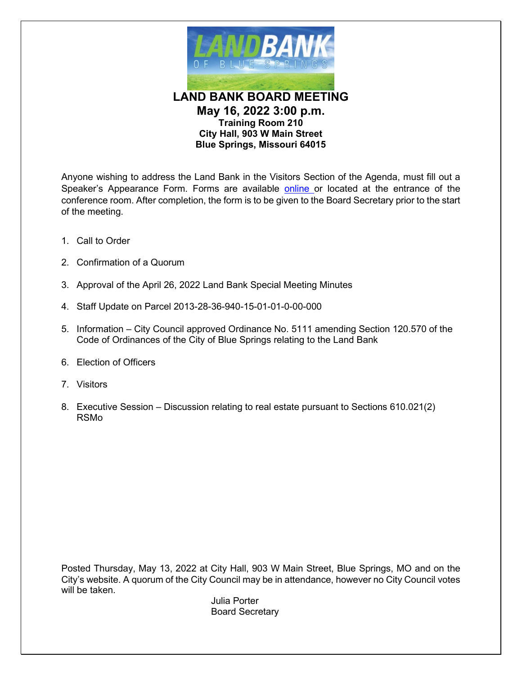

**LAND BANK BOARD MEETING May 16, 2022 3:00 p.m. Training Room 210 City Hall, 903 W Main Street Blue Springs, Missouri 64015**

Anyone wishing to address the Land Bank in the Visitors Section of the Agenda, must fill out a Speaker's Appearance Form. Forms are available [online o](http://www.bluespringsgov.com/FormCenter/Governance-2/Speaker-Appearance-Form-49)r located at the entrance of the conference room. After completion, the form is to be given to the Board Secretary prior to the start of the meeting.

- 1. Call to Order
- 2. Confirmation of a Quorum
- 3. Approval of the April 26, 2022 Land Bank Special Meeting Minutes
- 4. Staff Update on Parcel 2013-28-36-940-15-01-01-0-00-000
- 5. Information City Council approved Ordinance No. 5111 amending Section 120.570 of the Code of Ordinances of the City of Blue Springs relating to the Land Bank
- 6. Election of Officers
- 7. Visitors
- 8. Executive Session Discussion relating to real estate pursuant to Sections 610.021(2) RSMo

Posted Thursday, May 13, 2022 at City Hall, 903 W Main Street, Blue Springs, MO and on the City's website. A quorum of the City Council may be in attendance, however no City Council votes will be taken.

Julia Porter Board Secretary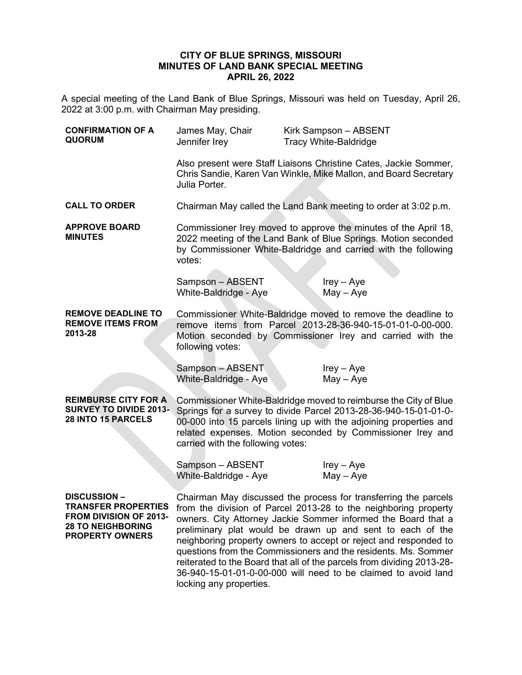## **CITY OF BLUE SPRINGS, MISSOURI MINUTES OF LAND BANK SPECIAL MEETING APRIL 26, 2022**

A special meeting of the Land Bank of Blue Springs, Missouri was held on Tuesday, April 26, 2022 at 3:00 p.m. with Chairman May presiding.

| <b>CONFIRMATION OF A</b><br><b>QUORUM</b>                                                          | James May, Chair<br>Jennifer Irey                                                                                                                                                                                                                                                                                                                                                                                                                                                                                                                                                                         | Kirk Sampson - ABSENT<br><b>Tracy White-Baldridge</b> |
|----------------------------------------------------------------------------------------------------|-----------------------------------------------------------------------------------------------------------------------------------------------------------------------------------------------------------------------------------------------------------------------------------------------------------------------------------------------------------------------------------------------------------------------------------------------------------------------------------------------------------------------------------------------------------------------------------------------------------|-------------------------------------------------------|
|                                                                                                    | Also present were Staff Liaisons Christine Cates, Jackie Sommer,<br>Chris Sandie, Karen Van Winkle, Mike Mallon, and Board Secretary<br>Julia Porter.                                                                                                                                                                                                                                                                                                                                                                                                                                                     |                                                       |
| <b>CALL TO ORDER</b>                                                                               | Chairman May called the Land Bank meeting to order at 3:02 p.m.                                                                                                                                                                                                                                                                                                                                                                                                                                                                                                                                           |                                                       |
| <b>APPROVE BOARD</b><br><b>MINUTES</b>                                                             | Commissioner Irey moved to approve the minutes of the April 18,<br>2022 meeting of the Land Bank of Blue Springs. Motion seconded<br>by Commissioner White-Baldridge and carried with the following<br>votes:                                                                                                                                                                                                                                                                                                                                                                                             |                                                       |
|                                                                                                    | Sampson - ABSENT<br>White-Baldridge - Aye                                                                                                                                                                                                                                                                                                                                                                                                                                                                                                                                                                 | $lrey - Aye$<br>$May - Aye$                           |
| <b>REMOVE DEADLINE TO</b><br><b>REMOVE ITEMS FROM</b><br>2013-28                                   | Commissioner White-Baldridge moved to remove the deadline to<br>remove items from Parcel 2013-28-36-940-15-01-01-0-00-000.<br>Motion seconded by Commissioner Irey and carried with the<br>following votes:                                                                                                                                                                                                                                                                                                                                                                                               |                                                       |
|                                                                                                    | Sampson - ABSENT<br>White-Baldridge - Aye                                                                                                                                                                                                                                                                                                                                                                                                                                                                                                                                                                 | $lrey - Aye$<br>$May - Aye$                           |
| <b>REIMBURSE CITY FOR A</b><br>SURVEY TO DIVIDE 2013-<br>28 INTO 15 PARCELS                        | Commissioner White-Baldridge moved to reimburse the City of Blue<br>Springs for a survey to divide Parcel 2013-28-36-940-15-01-01-0-<br>00-000 into 15 parcels lining up with the adjoining properties and<br>related expenses. Motion seconded by Commissioner Irey and<br>carried with the following votes:                                                                                                                                                                                                                                                                                             |                                                       |
|                                                                                                    | Sampson - ABSENT<br>White-Baldridge - Aye                                                                                                                                                                                                                                                                                                                                                                                                                                                                                                                                                                 | $lrey - Aye$<br>$May - Aye$                           |
| <b>DISCUSSION-</b><br>FROM DIVISION OF 2013-<br><b>28 TO NEIGHBORING</b><br><b>PROPERTY OWNERS</b> | Chairman May discussed the process for transferring the parcels<br><b>TRANSFER PROPERTIES</b> from the division of Parcel 2013-28 to the neighboring property<br>owners. City Attorney Jackie Sommer informed the Board that a<br>preliminary plat would be drawn up and sent to each of the<br>neighboring property owners to accept or reject and responded to<br>questions from the Commissioners and the residents. Ms. Sommer<br>reiterated to the Board that all of the parcels from dividing 2013-28-<br>36-940-15-01-01-0-00-000 will need to be claimed to avoid land<br>locking any properties. |                                                       |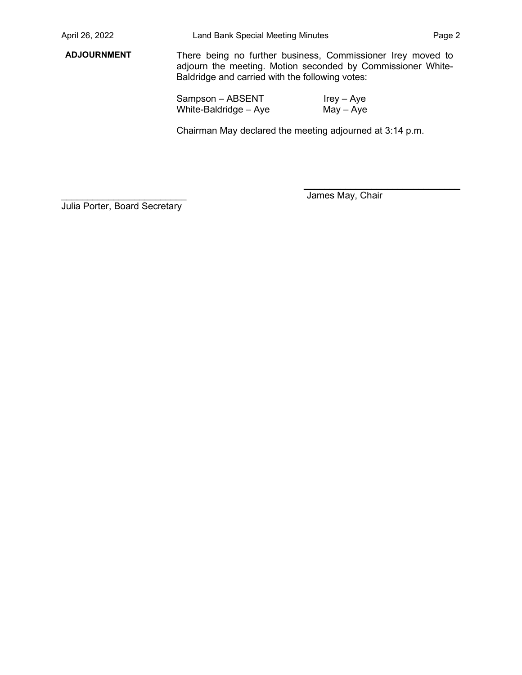**ADJOURNMENT** There being no further business, Commissioner Irey moved to adjourn the meeting. Motion seconded by Commissioner White-Baldridge and carried with the following votes:

> Sampson – ABSENT White-Baldridge – Aye Irey – Aye May – Aye

Chairman May declared the meeting adjourned at 3:14 p.m.

Julia Porter, Board Secretary

James May, Chair

 $\overline{\phantom{a}}$  , which is a set of the set of the set of the set of the set of the set of the set of the set of the set of the set of the set of the set of the set of the set of the set of the set of the set of the set of th